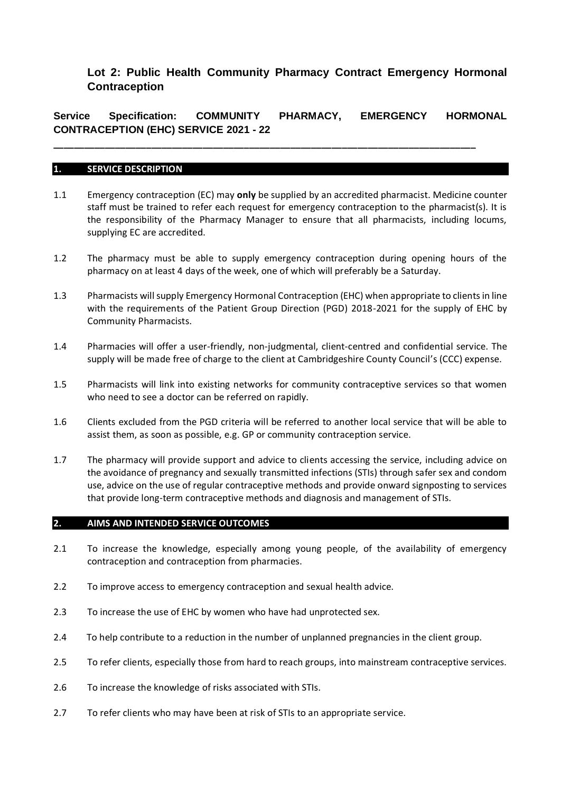# **Lot 2: Public Health Community Pharmacy Contract Emergency Hormonal Contraception**

**Service Specification: COMMUNITY PHARMACY, EMERGENCY HORMONAL CONTRACEPTION (EHC) SERVICE 2021 - 22**

**\_\_\_\_\_\_\_\_\_\_\_\_\_\_\_\_\_\_\_\_\_\_\_\_\_\_\_\_\_\_\_\_\_\_\_\_\_\_\_\_\_\_\_\_\_\_\_\_\_\_\_\_\_\_\_\_\_\_\_\_\_\_\_\_\_\_\_\_\_\_\_\_\_\_\_\_\_\_\_\_\_\_**

# **1. SERVICE DESCRIPTION**

- 1.1 Emergency contraception (EC) may **only** be supplied by an accredited pharmacist. Medicine counter staff must be trained to refer each request for emergency contraception to the pharmacist(s). It is the responsibility of the Pharmacy Manager to ensure that all pharmacists, including locums, supplying EC are accredited.
- 1.2 The pharmacy must be able to supply emergency contraception during opening hours of the pharmacy on at least 4 days of the week, one of which will preferably be a Saturday.
- 1.3 Pharmacists will supply Emergency Hormonal Contraception (EHC) when appropriate to clients in line with the requirements of the Patient Group Direction (PGD) 2018-2021 for the supply of EHC by Community Pharmacists.
- 1.4 Pharmacies will offer a user-friendly, non-judgmental, client-centred and confidential service. The supply will be made free of charge to the client at Cambridgeshire County Council's (CCC) expense.
- 1.5 Pharmacists will link into existing networks for community contraceptive services so that women who need to see a doctor can be referred on rapidly.
- 1.6 Clients excluded from the PGD criteria will be referred to another local service that will be able to assist them, as soon as possible, e.g. GP or community contraception service.
- 1.7 The pharmacy will provide support and advice to clients accessing the service, including advice on the avoidance of pregnancy and sexually transmitted infections (STIs) through safer sex and condom use, advice on the use of regular contraceptive methods and provide onward signposting to services that provide long-term contraceptive methods and diagnosis and management of STIs.

# **2. AIMS AND INTENDED SERVICE OUTCOMES**

- 2.1 To increase the knowledge, especially among young people, of the availability of emergency contraception and contraception from pharmacies.
- 2.2 To improve access to emergency contraception and sexual health advice.
- 2.3 To increase the use of EHC by women who have had unprotected sex.
- 2.4 To help contribute to a reduction in the number of unplanned pregnancies in the client group.
- 2.5 To refer clients, especially those from hard to reach groups, into mainstream contraceptive services.
- 2.6 To increase the knowledge of risks associated with STIs.
- 2.7 To refer clients who may have been at risk of STIs to an appropriate service.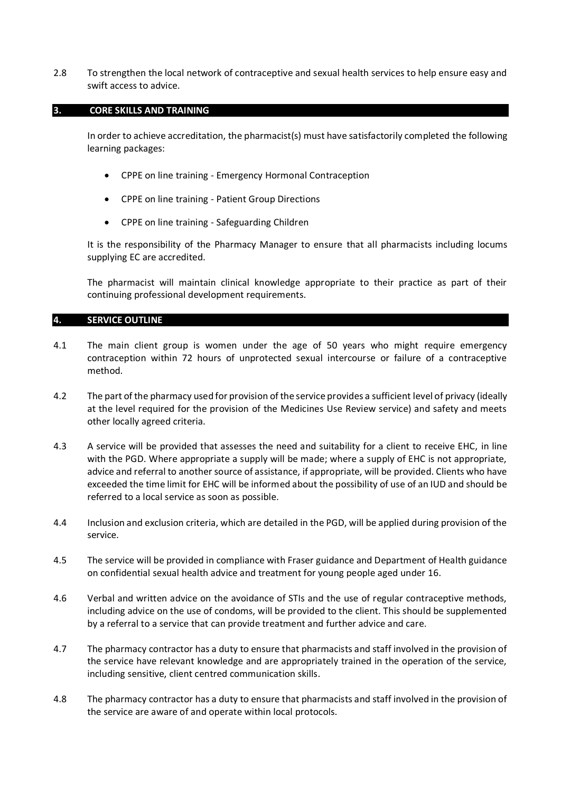2.8 To strengthen the local network of contraceptive and sexual health services to help ensure easy and swift access to advice.

### **3. CORE SKILLS AND TRAINING**

In order to achieve accreditation, the pharmacist(s) must have satisfactorily completed the following learning packages:

- CPPE on line training Emergency Hormonal Contraception
- CPPE on line training Patient Group Directions
- CPPE on line training Safeguarding Children

It is the responsibility of the Pharmacy Manager to ensure that all pharmacists including locums supplying EC are accredited.

The pharmacist will maintain clinical knowledge appropriate to their practice as part of their continuing professional development requirements.

# **4. SERVICE OUTLINE**

- 4.1 The main client group is women under the age of 50 years who might require emergency contraception within 72 hours of unprotected sexual intercourse or failure of a contraceptive method.
- 4.2 The part of the pharmacy used for provision of the service provides a sufficient level of privacy (ideally at the level required for the provision of the Medicines Use Review service) and safety and meets other locally agreed criteria.
- 4.3 A service will be provided that assesses the need and suitability for a client to receive EHC, in line with the PGD. Where appropriate a supply will be made; where a supply of EHC is not appropriate, advice and referral to another source of assistance, if appropriate, will be provided. Clients who have exceeded the time limit for EHC will be informed about the possibility of use of an IUD and should be referred to a local service as soon as possible.
- 4.4 Inclusion and exclusion criteria, which are detailed in the PGD, will be applied during provision of the service.
- 4.5 The service will be provided in compliance with Fraser guidance and Department of Health guidance on confidential sexual health advice and treatment for young people aged under 16.
- 4.6 Verbal and written advice on the avoidance of STIs and the use of regular contraceptive methods, including advice on the use of condoms, will be provided to the client. This should be supplemented by a referral to a service that can provide treatment and further advice and care.
- 4.7 The pharmacy contractor has a duty to ensure that pharmacists and staff involved in the provision of the service have relevant knowledge and are appropriately trained in the operation of the service, including sensitive, client centred communication skills.
- 4.8 The pharmacy contractor has a duty to ensure that pharmacists and staff involved in the provision of the service are aware of and operate within local protocols.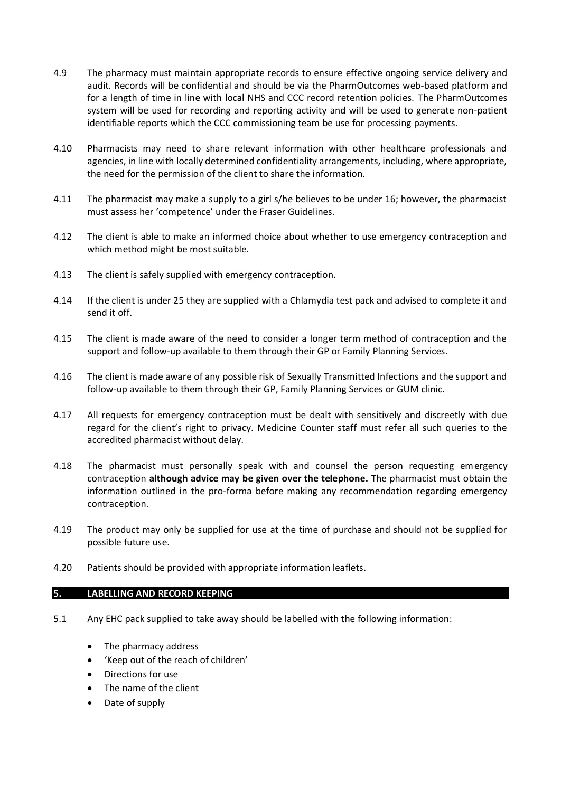- 4.9 The pharmacy must maintain appropriate records to ensure effective ongoing service delivery and audit. Records will be confidential and should be via the PharmOutcomes web-based platform and for a length of time in line with local NHS and CCC record retention policies. The PharmOutcomes system will be used for recording and reporting activity and will be used to generate non-patient identifiable reports which the CCC commissioning team be use for processing payments.
- 4.10 Pharmacists may need to share relevant information with other healthcare professionals and agencies, in line with locally determined confidentiality arrangements, including, where appropriate, the need for the permission of the client to share the information.
- 4.11 The pharmacist may make a supply to a girl s/he believes to be under 16; however, the pharmacist must assess her 'competence' under the Fraser Guidelines.
- 4.12 The client is able to make an informed choice about whether to use emergency contraception and which method might be most suitable.
- 4.13 The client is safely supplied with emergency contraception.
- 4.14 If the client is under 25 they are supplied with a Chlamydia test pack and advised to complete it and send it off.
- 4.15 The client is made aware of the need to consider a longer term method of contraception and the support and follow-up available to them through their GP or Family Planning Services.
- 4.16 The client is made aware of any possible risk of Sexually Transmitted Infections and the support and follow-up available to them through their GP, Family Planning Services or GUM clinic.
- 4.17 All requests for emergency contraception must be dealt with sensitively and discreetly with due regard for the client's right to privacy. Medicine Counter staff must refer all such queries to the accredited pharmacist without delay.
- 4.18 The pharmacist must personally speak with and counsel the person requesting emergency contraception **although advice may be given over the telephone.** The pharmacist must obtain the information outlined in the pro-forma before making any recommendation regarding emergency contraception.
- 4.19 The product may only be supplied for use at the time of purchase and should not be supplied for possible future use.
- 4.20 Patients should be provided with appropriate information leaflets.

# **5. LABELLING AND RECORD KEEPING**

- 5.1 Any EHC pack supplied to take away should be labelled with the following information:
	- The pharmacy address
	- 'Keep out of the reach of children'
	- Directions for use
	- The name of the client
	- Date of supply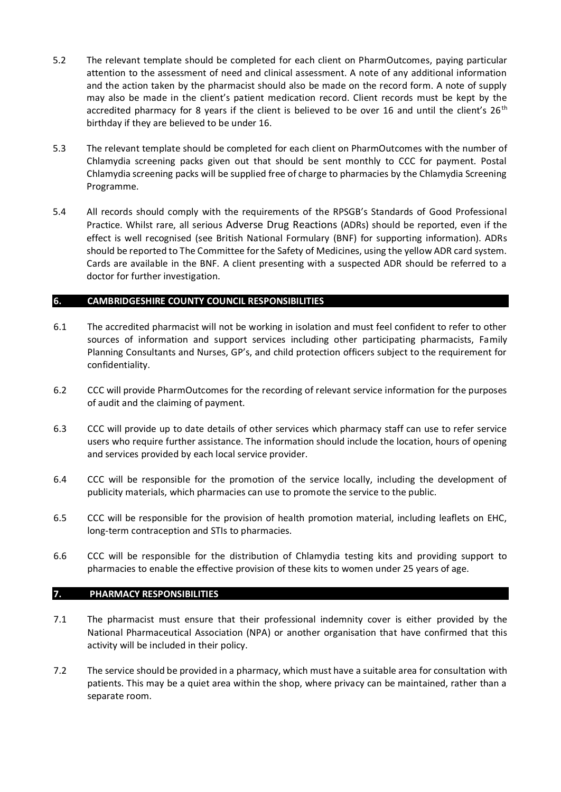- 5.2 The relevant template should be completed for each client on PharmOutcomes, paying particular attention to the assessment of need and clinical assessment. A note of any additional information and the action taken by the pharmacist should also be made on the record form. A note of supply may also be made in the client's patient medication record. Client records must be kept by the accredited pharmacy for 8 years if the client is believed to be over 16 and until the client's  $26<sup>th</sup>$ birthday if they are believed to be under 16.
- 5.3 The relevant template should be completed for each client on PharmOutcomes with the number of Chlamydia screening packs given out that should be sent monthly to CCC for payment. Postal Chlamydia screening packs will be supplied free of charge to pharmacies by the Chlamydia Screening Programme.
- 5.4 All records should comply with the requirements of the RPSGB's Standards of Good Professional Practice. Whilst rare, all serious Adverse Drug Reactions (ADRs) should be reported, even if the effect is well recognised (see British National Formulary (BNF) for supporting information). ADRs should be reported to The Committee for the Safety of Medicines, using the yellow ADR card system. Cards are available in the BNF. A client presenting with a suspected ADR should be referred to a doctor for further investigation.

# **6. CAMBRIDGESHIRE COUNTY COUNCIL RESPONSIBILITIES**

- 6.1 The accredited pharmacist will not be working in isolation and must feel confident to refer to other sources of information and support services including other participating pharmacists, Family Planning Consultants and Nurses, GP's, and child protection officers subject to the requirement for confidentiality.
- 6.2 CCC will provide PharmOutcomes for the recording of relevant service information for the purposes of audit and the claiming of payment.
- 6.3 CCC will provide up to date details of other services which pharmacy staff can use to refer service users who require further assistance. The information should include the location, hours of opening and services provided by each local service provider.
- 6.4 CCC will be responsible for the promotion of the service locally, including the development of publicity materials, which pharmacies can use to promote the service to the public.
- 6.5 CCC will be responsible for the provision of health promotion material, including leaflets on EHC, long-term contraception and STIs to pharmacies.
- 6.6 CCC will be responsible for the distribution of Chlamydia testing kits and providing support to pharmacies to enable the effective provision of these kits to women under 25 years of age.

### **7. PHARMACY RESPONSIBILITIES**

- 7.1 The pharmacist must ensure that their professional indemnity cover is either provided by the National Pharmaceutical Association (NPA) or another organisation that have confirmed that this activity will be included in their policy.
- 7.2 The service should be provided in a pharmacy, which must have a suitable area for consultation with patients. This may be a quiet area within the shop, where privacy can be maintained, rather than a separate room.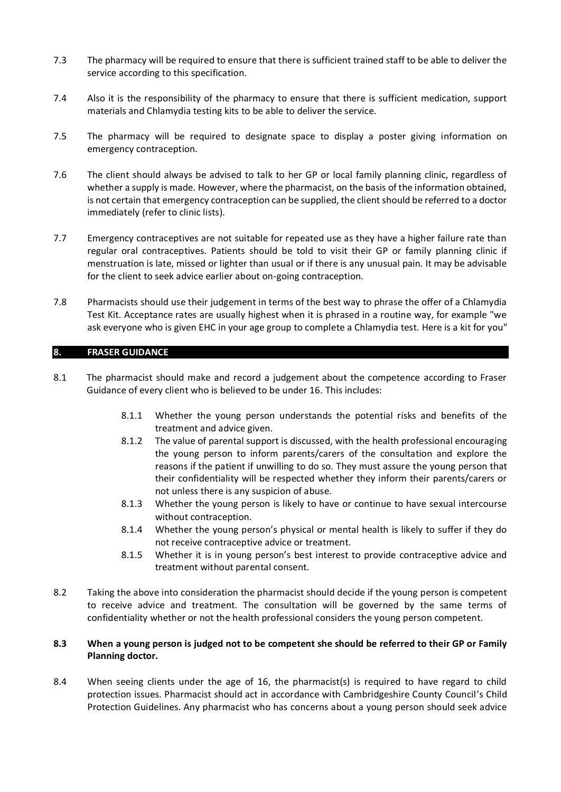- 7.3 The pharmacy will be required to ensure that there is sufficient trained staff to be able to deliver the service according to this specification.
- 7.4 Also it is the responsibility of the pharmacy to ensure that there is sufficient medication, support materials and Chlamydia testing kits to be able to deliver the service.
- 7.5 The pharmacy will be required to designate space to display a poster giving information on emergency contraception.
- 7.6 The client should always be advised to talk to her GP or local family planning clinic, regardless of whether a supply is made. However, where the pharmacist, on the basis of the information obtained, is not certain that emergency contraception can be supplied, the client should be referred to a doctor immediately (refer to clinic lists).
- 7.7 Emergency contraceptives are not suitable for repeated use as they have a higher failure rate than regular oral contraceptives. Patients should be told to visit their GP or family planning clinic if menstruation is late, missed or lighter than usual or if there is any unusual pain. It may be advisable for the client to seek advice earlier about on-going contraception.
- 7.8 Pharmacists should use their judgement in terms of the best way to phrase the offer of a Chlamydia Test Kit. Acceptance rates are usually highest when it is phrased in a routine way, for example "we ask everyone who is given EHC in your age group to complete a Chlamydia test. Here is a kit for you"

# **8. FRASER GUIDANCE**

- 8.1 The pharmacist should make and record a judgement about the competence according to Fraser Guidance of every client who is believed to be under 16. This includes:
	- 8.1.1 Whether the young person understands the potential risks and benefits of the treatment and advice given.
	- 8.1.2 The value of parental support is discussed, with the health professional encouraging the young person to inform parents/carers of the consultation and explore the reasons if the patient if unwilling to do so. They must assure the young person that their confidentiality will be respected whether they inform their parents/carers or not unless there is any suspicion of abuse.
	- 8.1.3 Whether the young person is likely to have or continue to have sexual intercourse without contraception.
	- 8.1.4 Whether the young person's physical or mental health is likely to suffer if they do not receive contraceptive advice or treatment.
	- 8.1.5 Whether it is in young person's best interest to provide contraceptive advice and treatment without parental consent.
- 8.2 Taking the above into consideration the pharmacist should decide if the young person is competent to receive advice and treatment. The consultation will be governed by the same terms of confidentiality whether or not the health professional considers the young person competent.

# **8.3 When a young person is judged not to be competent she should be referred to their GP or Family Planning doctor.**

8.4 When seeing clients under the age of 16, the pharmacist(s) is required to have regard to child protection issues. Pharmacist should act in accordance with Cambridgeshire County Council's Child Protection Guidelines. Any pharmacist who has concerns about a young person should seek advice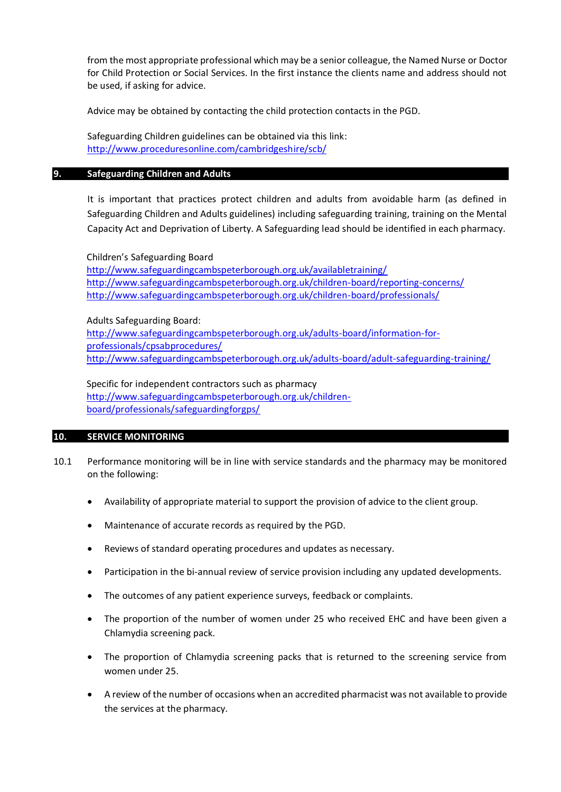from the most appropriate professional which may be a senior colleague, the Named Nurse or Doctor for Child Protection or Social Services. In the first instance the clients name and address should not be used, if asking for advice.

Advice may be obtained by contacting the child protection contacts in the PGD.

Safeguarding Children guidelines can be obtained via this link: <http://www.proceduresonline.com/cambridgeshire/scb/>

### **9. Safeguarding Children and Adults**

It is important that practices protect children and adults from avoidable harm (as defined in Safeguarding Children and Adults guidelines) including safeguarding training, training on the Mental Capacity Act and Deprivation of Liberty. A Safeguarding lead should be identified in each pharmacy.

#### Children's Safeguarding Board

<http://www.safeguardingcambspeterborough.org.uk/availabletraining/> <http://www.safeguardingcambspeterborough.org.uk/children-board/reporting-concerns/> <http://www.safeguardingcambspeterborough.org.uk/children-board/professionals/>

#### Adults Safeguarding Board:

[http://www.safeguardingcambspeterborough.org.uk/adults-board/information-for](http://www.safeguardingcambspeterborough.org.uk/adults-board/information-for-professionals/cpsabprocedures/)[professionals/cpsabprocedures/](http://www.safeguardingcambspeterborough.org.uk/adults-board/information-for-professionals/cpsabprocedures/) <http://www.safeguardingcambspeterborough.org.uk/adults-board/adult-safeguarding-training/>

### Specific for independent contractors such as pharmacy

[http://www.safeguardingcambspeterborough.org.uk/children](http://www.safeguardingcambspeterborough.org.uk/children-board/professionals/safeguardingforgps/)[board/professionals/safeguardingforgps/](http://www.safeguardingcambspeterborough.org.uk/children-board/professionals/safeguardingforgps/)

### **10. SERVICE MONITORING**

- 10.1 Performance monitoring will be in line with service standards and the pharmacy may be monitored on the following:
	- Availability of appropriate material to support the provision of advice to the client group.
	- Maintenance of accurate records as required by the PGD.
	- Reviews of standard operating procedures and updates as necessary.
	- Participation in the bi-annual review of service provision including any updated developments.
	- The outcomes of any patient experience surveys, feedback or complaints.
	- The proportion of the number of women under 25 who received EHC and have been given a Chlamydia screening pack.
	- The proportion of Chlamydia screening packs that is returned to the screening service from women under 25.
	- A review of the number of occasions when an accredited pharmacist was not available to provide the services at the pharmacy.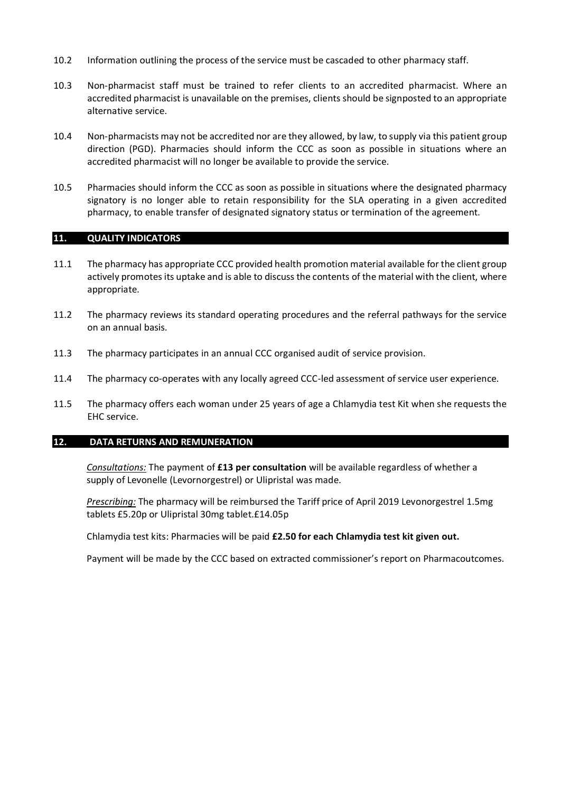- 10.2 Information outlining the process of the service must be cascaded to other pharmacy staff.
- 10.3 Non-pharmacist staff must be trained to refer clients to an accredited pharmacist. Where an accredited pharmacist is unavailable on the premises, clients should be signposted to an appropriate alternative service.
- 10.4 Non-pharmacists may not be accredited nor are they allowed, by law, to supply via this patient group direction (PGD). Pharmacies should inform the CCC as soon as possible in situations where an accredited pharmacist will no longer be available to provide the service.
- 10.5 Pharmacies should inform the CCC as soon as possible in situations where the designated pharmacy signatory is no longer able to retain responsibility for the SLA operating in a given accredited pharmacy, to enable transfer of designated signatory status or termination of the agreement.

# **11. QUALITY INDICATORS**

- 11.1 The pharmacy has appropriate CCC provided health promotion material available for the client group actively promotes its uptake and is able to discuss the contents of the material with the client, where appropriate.
- 11.2 The pharmacy reviews its standard operating procedures and the referral pathways for the service on an annual basis.
- 11.3 The pharmacy participates in an annual CCC organised audit of service provision.
- 11.4 The pharmacy co-operates with any locally agreed CCC-led assessment of service user experience.
- 11.5 The pharmacy offers each woman under 25 years of age a Chlamydia test Kit when she requests the EHC service.

# **12. DATA RETURNS AND REMUNERATION**

*Consultations:* The payment of **£13 per consultation** will be available regardless of whether a supply of Levonelle (Levornorgestrel) or Ulipristal was made.

*Prescribing:* The pharmacy will be reimbursed the Tariff price of April 2019 Levonorgestrel 1.5mg tablets £5.20p or Ulipristal 30mg tablet.£14.05p

Chlamydia test kits: Pharmacies will be paid **£2.50 for each Chlamydia test kit given out.**

Payment will be made by the CCC based on extracted commissioner's report on Pharmacoutcomes.